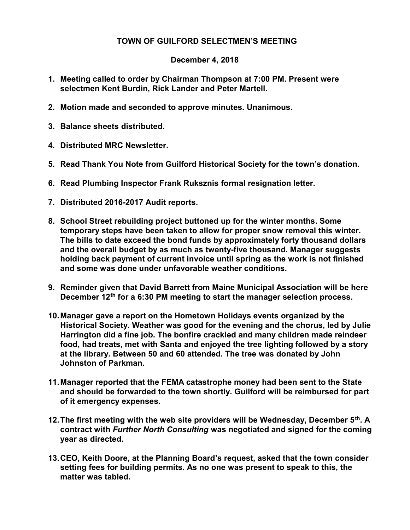## TOWN OF GUILFORD SELECTMEN'S MEETING

## December 4, 2018

- 1. Meeting called to order by Chairman Thompson at 7:00 PM. Present were selectmen Kent Burdin, Rick Lander and Peter Martell.
- 2. Motion made and seconded to approve minutes. Unanimous.
- 3. Balance sheets distributed.
- 4. Distributed MRC Newsletter.
- 5. Read Thank You Note from Guilford Historical Society for the town's donation.
- 6. Read Plumbing Inspector Frank Ruksznis formal resignation letter.
- 7. Distributed 2016-2017 Audit reports.
- 8. School Street rebuilding project buttoned up for the winter months. Some temporary steps have been taken to allow for proper snow removal this winter. The bills to date exceed the bond funds by approximately forty thousand dollars and the overall budget by as much as twenty-five thousand. Manager suggests holding back payment of current invoice until spring as the work is not finished and some was done under unfavorable weather conditions.
- 9. Reminder given that David Barrett from Maine Municipal Association will be here December 12<sup>th</sup> for a 6:30 PM meeting to start the manager selection process.
- 10. Manager gave a report on the Hometown Holidays events organized by the Historical Society. Weather was good for the evening and the chorus, led by Julie Harrington did a fine job. The bonfire crackled and many children made reindeer food, had treats, met with Santa and enjoyed the tree lighting followed by a story at the library. Between 50 and 60 attended. The tree was donated by John Johnston of Parkman.
- 11. Manager reported that the FEMA catastrophe money had been sent to the State and should be forwarded to the town shortly. Guilford will be reimbursed for part of it emergency expenses.
- 12. The first meeting with the web site providers will be Wednesday, December  $5<sup>th</sup>$ . A contract with Further North Consulting was negotiated and signed for the coming year as directed.
- 13. CEO, Keith Doore, at the Planning Board's request, asked that the town consider setting fees for building permits. As no one was present to speak to this, the matter was tabled.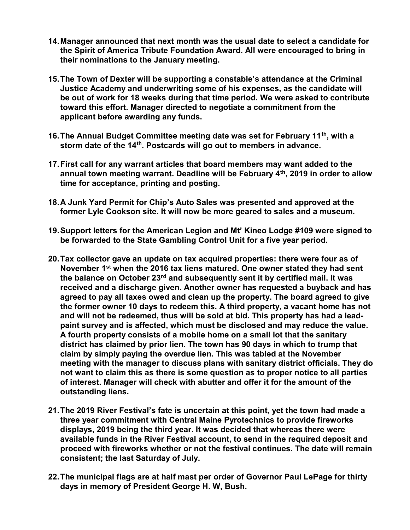- 14. Manager announced that next month was the usual date to select a candidate for the Spirit of America Tribute Foundation Award. All were encouraged to bring in their nominations to the January meeting.
- 15. The Town of Dexter will be supporting a constable's attendance at the Criminal Justice Academy and underwriting some of his expenses, as the candidate will be out of work for 18 weeks during that time period. We were asked to contribute toward this effort. Manager directed to negotiate a commitment from the applicant before awarding any funds.
- 16. The Annual Budget Committee meeting date was set for February 11<sup>th</sup>, with a storm date of the 14<sup>th</sup>. Postcards will go out to members in advance.
- 17. First call for any warrant articles that board members may want added to the annual town meeting warrant. Deadline will be February  $4<sup>th</sup>$ , 2019 in order to allow time for acceptance, printing and posting.
- 18. A Junk Yard Permit for Chip's Auto Sales was presented and approved at the former Lyle Cookson site. It will now be more geared to sales and a museum.
- 19. Support letters for the American Legion and Mt' Kineo Lodge #109 were signed to be forwarded to the State Gambling Control Unit for a five year period.
- 20. Tax collector gave an update on tax acquired properties: there were four as of November 1<sup>st</sup> when the 2016 tax liens matured. One owner stated they had sent the balance on October 23<sup>rd</sup> and subsequently sent it by certified mail. It was received and a discharge given. Another owner has requested a buyback and has agreed to pay all taxes owed and clean up the property. The board agreed to give the former owner 10 days to redeem this. A third property, a vacant home has not and will not be redeemed, thus will be sold at bid. This property has had a leadpaint survey and is affected, which must be disclosed and may reduce the value. A fourth property consists of a mobile home on a small lot that the sanitary district has claimed by prior lien. The town has 90 days in which to trump that claim by simply paying the overdue lien. This was tabled at the November meeting with the manager to discuss plans with sanitary district officials. They do not want to claim this as there is some question as to proper notice to all parties of interest. Manager will check with abutter and offer it for the amount of the outstanding liens.
- 21. The 2019 River Festival's fate is uncertain at this point, yet the town had made a three year commitment with Central Maine Pyrotechnics to provide fireworks displays, 2019 being the third year. It was decided that whereas there were available funds in the River Festival account, to send in the required deposit and proceed with fireworks whether or not the festival continues. The date will remain consistent; the last Saturday of July.
- 22. The municipal flags are at half mast per order of Governor Paul LePage for thirty days in memory of President George H. W, Bush.